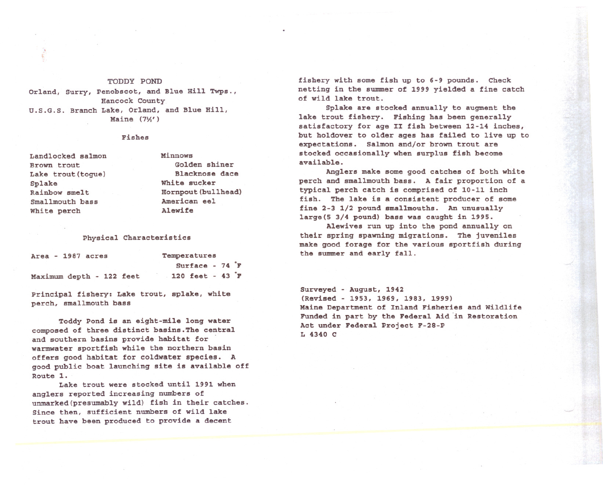## TODDY POND

Orland, Surry, Penobscot, and Blue Hill Twps., Hancock County U.S.G.S. Branch Lake, Orland, and Blue Hill, Maine  $(7\frac{1}{2})$ 

## Fishes

Landlocked salmon Brown trout Lake trout (togue) Splake Rainbow smelt Smallmouth bass White perch

Minnows Golden shiner Blacknose dace White sucker Hornpout(bullhead) American eel Alewife

## Physical Characteristics

| Area - 1987 acres        |  |  |  | Temperatures |  |                                    |  |  |  |
|--------------------------|--|--|--|--------------|--|------------------------------------|--|--|--|
|                          |  |  |  |              |  | Surface - $74 \text{ }^{\circ}$ F  |  |  |  |
| Maximum depth - 122 feet |  |  |  |              |  | 120 feet - $43 \text{ }^{\circ}$ F |  |  |  |

Principal fishery: Lake trout, splake, white perch, smallmouth bass

Toddy Pond is an eight-mile long water composed of three distinct basins.The central and southern basins provide habitat for warmwater sportfish while the northern basin offers good habitat for coldwater species. A good public boat launching site is available off Route 1.

Lake trout were stocked until 1991 when anglers reported increasing numbers of unmarked(presumably wild} fish in their catches. Since then, sufficient numbers of wild lake trout have been produced to provide a decent

fishery with some fish up to 6-9 pounds. Check netting in the summer of 1999 yielded a fine catch of wild lake trout.

Splake are stocked annually to augment the lake trout fishery. Fishing has been generally satisfactory for age II fish between 12-14 inches, but holdover to older ages has failed to live up to expectations. Salmon and/or brown trout are stocked occasionally when surplus fish become available.

Anglers make some good catches of both white perch and smallmouth bass. A fair proportion of a typical perch catch is comprised of 10-11 inch fish. The lake is a consistent producer of some fine 2-3 1/2 pound smallmouths. An unusually large(5 3/4 pound) bass was caught in 1995.

Alewives run up into the pond annually on their spring spawning migrations. The juveniles make good forage for the various sportfish during the summer and early fall.

Surveyed - August, 1942 (Revised - 1953, 1969, 1983, 1999) Maine Department of Inland Fisheries and wildlife Funded in part by the Federal Aid in Restoration Act under Federal Project F-28-P L 4340 C